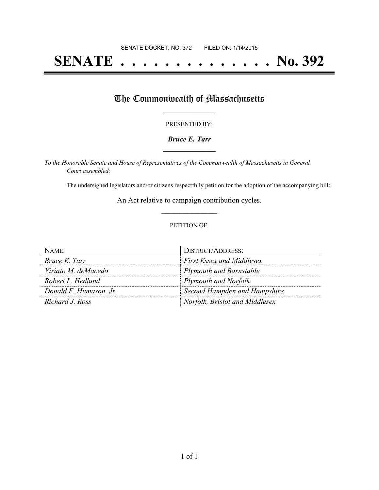# **SENATE . . . . . . . . . . . . . . No. 392**

## The Commonwealth of Massachusetts

#### PRESENTED BY:

#### *Bruce E. Tarr* **\_\_\_\_\_\_\_\_\_\_\_\_\_\_\_\_\_**

*To the Honorable Senate and House of Representatives of the Commonwealth of Massachusetts in General Court assembled:*

The undersigned legislators and/or citizens respectfully petition for the adoption of the accompanying bill:

An Act relative to campaign contribution cycles. **\_\_\_\_\_\_\_\_\_\_\_\_\_\_\_**

#### PETITION OF:

| NAME                   | <b>DISTRICT/ADDRESS:</b>         |
|------------------------|----------------------------------|
| Bruce E. Tarr          | <b>First Essex and Middlesex</b> |
| Viriato M. deMacedo    | <b>Plymouth and Barnstable</b>   |
| Robert L. Hedlund      | Plymouth and Norfolk             |
| Donald F. Humason, Jr. | Second Hampden and Hampshire     |
| Richard J. Ross        | Norfolk, Bristol and Middlesex   |